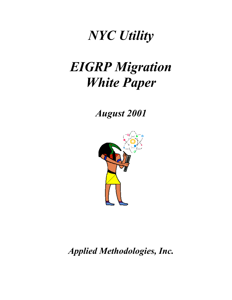# *NYC Utility*

# *EIGRP Migration White Paper*

*August 2001*



*Applied Methodologies, Inc.*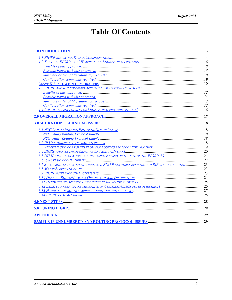# **Table Of Contents**

| 3.7 STATIC ROUTES TREATED AS CONNECTED EIGRP NETWORKS EVEN THOUGH RIP IS REDISTRIBUTED 23 |  |
|-------------------------------------------------------------------------------------------|--|
|                                                                                           |  |
|                                                                                           |  |
|                                                                                           |  |
|                                                                                           |  |
|                                                                                           |  |
|                                                                                           |  |
|                                                                                           |  |
|                                                                                           |  |
|                                                                                           |  |
|                                                                                           |  |
|                                                                                           |  |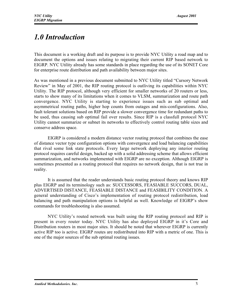# *1.0 Introduction*

This document is a working draft and its purpose is to provide NYC Utility a road map and to document the options and issues relating to migrating their current RIP based network to EIGRP. NYC Utility already has some standards in place regarding the use of its SONET Core for enterprise route distribution and path availability between major sites.

As was mentioned in a previous document submitted to NYC Utility titled "Cursory Network Review" in May of 2001, the RIP routing protocol is outliving its capabilities within NYC Utility. The RIP protocol, although very efficient for smaller networks of 20 routers or less, starts to show many of its limitations when it comes to VLSM, summarization and route path convergence. NYC Utility is starting to experience issues such as sub optimal and asymmetrical routing paths, higher hop counts from outages and mis-configurations. Also, fault tolerant solutions based on RIP provide a slower convergence time for redundant paths to be used, thus causing sub optimal fail over results. Since RIP is a classfull protocol NYC Utility cannot summarize or subnet its networks to effectively control routing table sizes and conserve address space.

EIGRP is considered a modern distance vector routing protocol that combines the ease of distance vector type configuration options with convergence and load balancing capabilities that rival some link state protocols. Every large network deploying any interior routing protocol requires careful design, backed up with a solid addressing scheme that allows efficient summarization, and networks implemented with EIGRP are no exception. Although EIGRP is sometimes presented as a routing protocol that requires no network design, that is not true in reality.

It is assumed that the reader understands basic routing protocol theory and knows RIP plus EIGRP and its terminology such as: SUCCESSORS, FEASIABLE SUCCORS, DUAL, ADVERTISED DISTANCE, FEASIABLE DISTANCE and FEASIBILITY CONDITION. A general understanding of Cisco's implementation of routing protocol redistribution, load balancing and path manipulation options is helpful as well. Knowledge of EIGRP's show commands for troubleshooting is also assumed.

NYC Utility's routed network was built using the RIP routing protocol and RIP is present in every router today. NYC Utility has also deployed EIGRP in it's Core and Distribution routers in most major sites. It should be noted that wherever EIGRP is currently active RIP too is active. EIGRP routes are redistributed into RIP with a metric of one. This is one of the major sources of the sub optimal routing issues.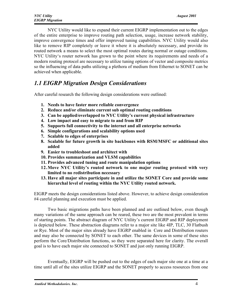NYC Utility would like to expand their current EIGRP implementation out to the edges of the entire enterprise to improve routing path selection, usage, increase network stability, improve convergence times and offer improved tuning capabilities. NYC Utility would also like to remove RIP completely or leave it where it is absolutely necessary, and provide its routed network a means to select the most optimal routes during normal or outage conditions. NYC Utility's router network has grown to the point where its requirements and needs of a modern routing protocol are necessary to utilize tuning options of vector and composite metrics so the influencing of data paths utilizing a plethora of medium from Ethernet to SONET can be achieved when applicable.

## *1.1 EIGRP Migration Design Considerations*

After careful research the following design considerations were outlined:

- 1. Needs to have faster more reliable convergence
- 2. Reduce and/or eliminate current sub optimal routing conditions
- 3. Can be applied/overlapped to NYC Utility's current physical infrastructure
- 4. Low impact and easy to migrate to and from RIP
- 5. Supports full connectivity to the internet and all enterprise networks
- 6. Simple configurations and scalability options used
- 7. Scalable to edges of enterprises
- 8. Scalable for future growth in site backbones with RSM/MSFC or additional sites added
- 9. Easier to troubleshoot and architect with
- 10. Provides summarization and VLSM capabilities
- 11. Provides advanced tuning and route manipulation options
- 12.Move NYC Utility's routed network to one major routing protocol with very limited to no redistribution necessary
- 13. Have all major sites participate in and utilize the SONET Core and provide some hierarchal level of routing within the NYC Utility routed network.

EIGRP meets the design considerations listed above. However, to achieve design consideration #4 careful planning and execution must be applied.

Two basic migrations paths have been planned and are outlined below, even though many variations of the same approach can be reared, these two are the most prevalent in terms of starting points. The abstract diagram of NYC Utility's current EIGRP and RIP deployment is depicted below. These abstraction diagrams refer to a major site like 4IP, TLC, 30 Flatbush or Rye. Most of the major sites already have EIGRP enabled in Core and Distribution routers and may also be connected by SONET to each other. The same devices in some of these sites perform the Core/Distribution functions, so they were separated here for clarity. The overall goal is to have each major site connected to SONET and just only running EIGRP.

Eventually, EIGRP will be pushed out to the edges of each major site one at a time at a time until all of the sites utilize EIGRP and the SONET properly to access resources from one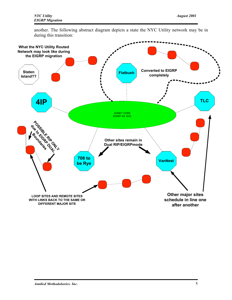another. The following abstract diagram depicts a state the NYC Utility network may be in during this transition:

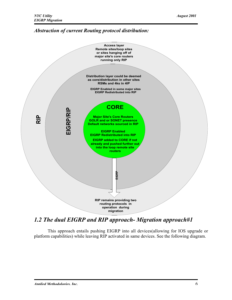#### *Abstraction of current Routing protocol distribution:*



## *1.2 The dual EIGRP and RIP approach- Migration approach#1*

This approach entails pushing EIGRP into all devices(allowing for IOS upgrade or platform capabilities) while leaving RIP activated in same devices. See the following diagram.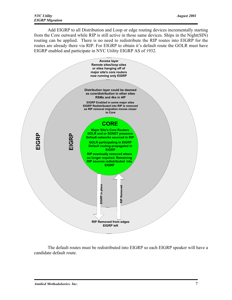Add EIGRP to all Distribution and Loop or edge routing devices incrementally starting from the Core outward while RIP is still active in those same devices. Ships in the Night(SIN) routing can be applied. There is no need to redistribute the RIP routes into EIGRP for the routes are already there via RIP. For EIGRP to obtain it's default route the GOLR must have EIGRP enabled and participate in NYC Utility EIGRP AS of 1932.



The default routes must be redistributed into EIGRP so each EIGRP speaker will have a candidate default route.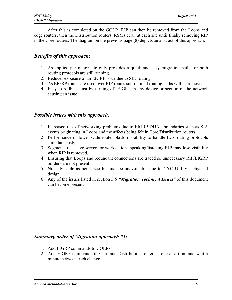After this is completed on the GOLR, RIP can then be removed from the Loops and edge routers, then the Distribution routers, RSMs et al. at each site until finally removing RIP in the Core routers. The diagram on the previous page (8) depicts an abstract of this approach:

#### *Benefits of this approach:*

- 1. As applied per major site only provides a quick and easy migration path, for both routing protocols are still running.
- 2. Reduces exposure of an EIGRP issue due to SIN routing.
- 3. As EIGRP routes are used over RIP routes sub-optimal routing paths will be removed.
- 4. Easy to rollback just by turning off EIGRP in any device or section of the network causing an issue.

#### *Possible issues with this approach:*

- 1. Increased risk of networking problems due to EIGRP DUAL boundaries such as SIA events originating in Loops and the affects being felt in Core/Distribution routers.
- 2. Performance of lower scale router platforms ability to handle two routing protocols simultaneously.
- 3. Segments that have servers or workstations speaking/listening RIP may lose visibility when RIP is removed.
- 4. Ensuring that Loops and redundant connections are traced so unnecessary RIP/EIGRP borders are not present.
- 5. Not advisable as per Cisco but mat be unavoidable due to NYC Utility's physical design.
- 6. Any of the issues listed in section *3.0 "Migration Technical Issues"* of this document can become present.

#### *Summary order of Migration approach #1:*

- 1. Add EIGRP commands to GOLRs
- 2. Add EIGRP commands to Core and Distribution routers one at a time and wait a minute between each change.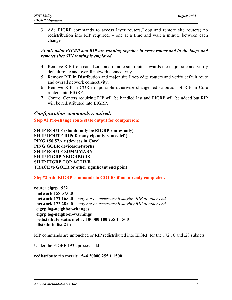3. Add EIGRP commands to access layer routers(Loop and remote site routers) no redistribution into RIP required. – one at a time and wait a minute between each change.

#### *At this point EIGRP and RIP are running together in every router and in the loops and remotes sites SIN routing is employed.*

- 4. Remove RIP from each Loop and remote site router towards the major site and verify default route and overall network connectivity.
- 5. Remove RIP in Distribution and major site Loop edge routers and verify default route and overall network connectivity.
- 6. Remove RIP in CORE if possible otherwise change redistribution of RIP in Core routers into EIGRP.
- 7. Control Centers requiring RIP will be handled last and EIGRP will be added but RIP will be redistributed into EIGRP

#### *Configuration commands required:*

Step #1 Pre-change route state output for comparison:

SH IP ROUTE (should only be EIGRP routes only) SH IP ROUTE RIP( for any rip only routes left) PING 158.57.x.x (devices in Core) PING GOLR devices/networks SH IP ROUTE SUMMMARY SH IP EIGRP NEIGHBORS SH IP EIGRP TOP ACTIVE TRACE to GOLR or other significant end point

#### Step#2 Add EIGRP commands to GOLRs if not already completed.

router eigrp 1932 network 158.57.0.0 network 172.16.0.0 *may not be necessary if staying RIP at other end* network 172.28.0.0 *may not be necessary if staying RIP at other end* eigrp log-neighbor-changes eigrp log-neighbor-warnings redistribute static metric 100000 100 255 1 1500 distribute-list 2 in

RIP commands are untouched or RIP redistributed into EIGRP for the 172.16 and .28 subnets.

Under the EIGRP 1932 process add:

#### redistribute rip metric 1544 20000 255 1 1500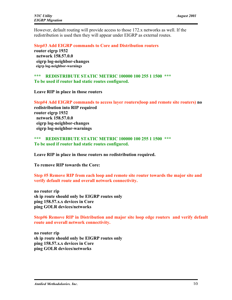However, default routing will provide access to those 172.x networks as well. If the redistribution is used then they will appear under EIGRP as external routes.

Step#3 Add EIGRP commands to Core and Distribution routers

router eigrn 1932 network 158.57.0.0 eigrp log-neighbor-changes eigrp log-neighbor-warnings

\*\*\* REDISTRIBUTE STATIC METRIC 100000 100 255 1 1500 \*\*\* To be used if router had static routes configured.

Leave RIP in place in those routers

Step#4 Add EIGRP commands to access layer routers(loop and remote site routers) no redistribution into RIP required router eigrp 1932 network 158.57.0.0 eigrp log-neighbor-changes eigrp log-neighbor-warnings

#### \*\*\* REDISTRIBUTE STATIC METRIC 100000 100 255 1 1500 \*\*\* To be used if router had static routes configured.

Leave RIP in place in those routers no redistribution required.

To remove RIP towards the Core:

Step #5 Remove RIP from each loop and remote site router towards the major site and verify default route and overall network connectivity.

no router rip sh ip route should only be EIGRP routes only ping 158.57.x.x devices in Core ping GOLR devices/networks

Step#6 Remove RIP in Distribution and major site loop edge routers and verify default route and overall network connectivity.

no router rip sh ip route should only be EIGRP routes only ping 158.57.x.x devices in Core ping GOLR devices/networks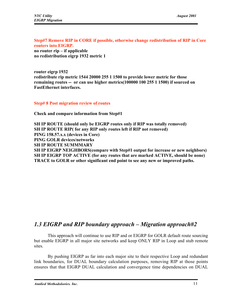Step#7 Remove RIP in CORE if possible, otherwise change redistribution of RIP in Core routers into EIGRP. no router rip – if applicable no redistribution eigrp 1932 metric 1

router eigrp 1932 redistribute rip metric 1544 20000 255 1 1500 to provide lower metric for those remaining routes -- or can use higher metrics(100000 100 255 1 1500) if sourced on FastEthernet interfaces.

Step# 8 Post migration review of routes

Check and compare information from Step#1

SH IP ROUTE (should only be EIGRP routes only if RIP was totally removed) SH IP ROUTE RIP( for any RIP only routes left if RIP not removed) PING 158.57.x.x (devices in Core) PING GOLR devices/networks SH IP ROUTE SUMMMARY SH IP EIGRP NEIGHBORS(compare with Step#1 output for increase or new neighbors) SH IP EIGRP TOP ACTIVE (for any routes that are marked ACTIVE, should be none) TRACE to GOLR or other significant end point to see any new or improved paths.

### *1.3 EIGRP and RIP boundary approach – Migration approach#2*

This approach will continue to use RIP and or EIGRP for GOLR default route sourcing but enable EIGRP in all major site networks and keep ONLY RIP in Loop and stub remote sites.

By pushing EIGRP as far into each major site to their respective Loop and redundant link boundaries, for DUAL boundary calculation purposes, removing RIP at those points ensures that that EIGRP DUAL calculation and convergence time dependencies on DUAL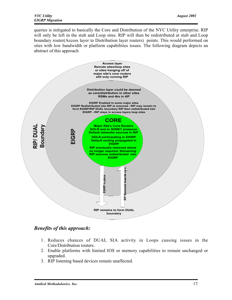queries is mitigated to basically the Core and Distribution of the NYC Utility enterprise. RIP will only be left in the stub and Loop sites. RIP will then be redistributed at stub and Loop boundary router(Access layer to Distribution layer routers) points. This would performed on sites with low bandwidth or platform capabilities issues. The following diagram depicts an abstract of this approach



#### *Benefits of this approach:*

- 1 . Reduces chances of DUAL SIA activity in Loops causing issues in the Core/Distribution routers.
- 2. Enable platforms with limited IOS or memory capabilities to remain unchanged or upgraded.
- 3. RIP listening based devices remain unaffected.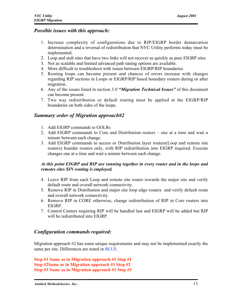#### *Possible issues with this approach:*

- 1 . Increase complexity of configurations due to RIP/EIGRP border demarcation determination and a reversal of redistribution that NYC Utility performs today must be implemented.
- 2. Loop and stub sites that have two links will not recover as quickly as pure EIGRP sites
- 3. Not as scalable and limited advanced path tuning options are available.
- 4. More difficult to troubleshoot with issues between EIGRP/RIP boundaries
- 5. Routing loops can become present and chances of errors increase with changes regarding RIP sections in Loops or EIGRP/RIP based boundary routers during or after migration.
- 6. Any of the issues listed in section *3.0 "Migration Technical Issues"* of this document can become present.
- 7 . Two way redistribution or default routing must be applied at the EIGRP/RIP boundaries on both sides of the loops.

#### *Summary order of Migration approach#2*

- 1. Add EIGRP commands to GOLRs
- 2. Add EIGRP commands to Core and Distribution routers one at a time and wait a minute between each change.
- 3. Add EIGRP commands to access or Distribution layer routers(Loop and remote site routers) boarder routers only, with RIP redistribution into EIGRP required. Execute changes one at a time and wait a minute between each change.

#### *At this point EIGRP and RIP are running together in every router and in the loops and remotes sites SIN routing is employed.*

- 4. Leave RIP from each Loop and remote site router towards the major site and verify default route and overall network connectivity.
- 5. Remove RIP in Distribution and major site loop edge routers and verify default route and overall network connectivity.
- 6. Remove RIP in CORE otherwise, change redistribution of RIP in Core routers into EIGRP.
- 7. Control Centers requiring RIP will be handled last and EIGRP will be added but RIP will be redistributed into EIGRP

#### *Configuration commands required:*

Migration approach #2 has some unique requirements and may not be implemented exactly the same per site. Differences are noted in BLUE.

Step #1 Same as in Migration approach #1 Step #1 Step #2Same as in Migration approach #1 Step #2 Step #3 Same as in Migration approach #1 Step #3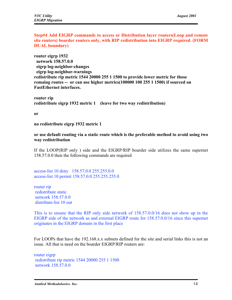Step#4 Add EIGRP commands to access or Distribution layer routers(Loop and remote site routers) boarder routers only, with RIP redistribution into EIGRP required. (FORM DUAL boundary)

router eigrp 1932 network 158.57.0.0 eigrp log-neighbor-changes eigrp log-neighbor-warnings redistribute rip metric 1544 20000 255 1 1500 to provide lower metric for those remaing routes -- or can use higher metrics(100000 100 255 1 1500) if sourced on FastEthernet interfaces.

router rip redistribute eigrp 1932 metric 1 (leave for two way redistribution)

or

no redistribute eigrp 1932 metric 1

or use default routing via a static route which is the preferable method to avoid using two way redistribution

If the LOOP(RIP only ) side and the EIGRP/RIP boarder side utilizes the same supernet 158.57.0.0 then the following commands are required

access-list 10 deny 158.57.0.0 255.255.0.0 access-list 10 permit 158.57.0.0 255.255.255.0

router rip redistribute static network 158.57.0.0 distribute-list 10 out

This is to ensure that the RIP only side network of 158.57.0.0/16 does not show up in the EIGRP side of the network as and external EIGRP route for 158.57.0.0/16 since this supernet originates in the EIGRP domain in the first place

For LOOPs that have the 192.168.x.x subnets defined for the site and serial links this is not an issue. All that is need on the boarder EIGRP/RIP routers are:

router eigrp redistribute rip metric 1544 20000 255 1 1500 network 158.57.0.0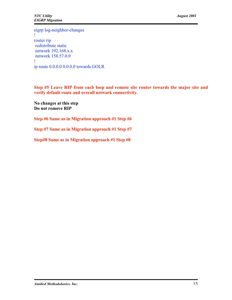eigrp log-neighbor-changes ! router rip redistribute static network 192.168.x.x network 158.57.0.0 ! ip route 0.0.0.0 0.0.0.0 towards GOLR

Step #5 Leave RIP from each loop and remote site router towards the major site and verify default route and overall network connectivity.

No changes at this step Do not remove RIP

Step #6 Same as in Migration approach #1 Step #6

Step #7 Same as in Migration approach #1 Step #7

Step#8 Same as in Migration approach #1 Step #8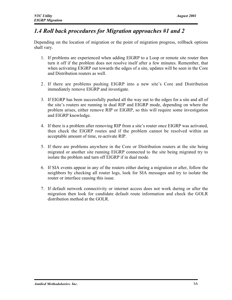## *1.4 Roll back procedures for Migration approaches #1 and 2*

Depending on the location of migration or the point of migration progress, rollback options shall vary.

- 1. If problems are experienced when adding EIGRP to a Loop or remote site router then turn it off if the problem does not resolve itself after a few minutes. Remember, that when activating EIGRP out towards the edges of a site, updates will be seen in the Core and Distribution routers as well.
- 2 . If there are problems pushing EIGRP into a new site's Core and Distribution immediately remove EIGRP and investigate.
- 3. If EIGRP has been successfully pushed all the way out to the edges for a site and all of the site's routers are running in dual RIP and EIGRP mode, depending on where the problem arises, either remove RIP or EIGRP, so this will require some investigation and EIGRP knowledge.
- 4. If there is a problem after removing RIP from a site's router once EIGRP was activated, then check the EIGRP routes and if the problem cannot be resolved within an acceptable amount of time, re-activate RIP.
- 5. If there are problems anywhere in the Core or Distribution routers at the site being migrated or another site running EIGRP connected to the site being migrated try to isolate the problem and turn off EIGRP if in dual mode.
- 6. If SIA events appear in any of the routers either during a migration or after, follow the neighbors by checking all router logs, look for SIA messages and try to isolate the router or interface causing this issue.
- 7. If default network connectivity or internet access does not work during or after the migration then look for candidate default route information and check the GOLR distribution method at the GOLR.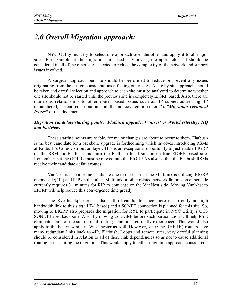# *2.0 Overall Migration approach:*

NYC Utility must try to select one approach over the other and apply it to all major sites. For example, if the migration site used is VanNest, the approach used should be considered in all of the other sites selected to reduce the complexity of the network and support issues involved.

A surgical approach per site should be performed to reduce or prevent any issues originating from the design considerations affecting other sites. A site by site approach should be taken and careful selection and approach to each site must be analyzed to determine whether one site should not be started until the previous site is completely EIGRP based. Also, there are numerous relationships to other router based issues such as: IP subnet addressing, IP unnumbered, current redistribution et al. that are covered in section *3.0 "Migration Technical Issues"* of this document.

#### *Migration candidate starting points: Flatbush upgrade, VanNest or Westchester(Rye HQ and Eastview)*

These starting points are viable, for major changes are about to occur to them. Flatbush is the best candidate for a backbone upgrade is forthcoming which involves introducing RSMs at Faltbush's Core/Distribution layer. This is an exceptional opportunity to just enable EIGRP on the RSM for Flatbush and turn the Flatbush local site into a true EIGRP based site. Remember that the GOLRs must be moved into the EIGRP AS also so that the Flatbush RSMs receive their candidate default routes.

VanNest is also a prime candidate due to the fact that the Multilink is utilizing EIGRP on one side(4IP) and RIP on the other. Multilink or other related network failures on either side currently requires 3+ minutes for RIP to converge on the VanNest side. Moving VanNest to EIGRP will help reduce this convergence time greatly.

The Rye headquarters is also a third candidate since there is currently no high bandwidth link to this site(all T-1 based) and a SONET connection is planned for this site. So, moving to EIGRP also prepares the migration for RYE to participate in NYC Utility's OC3 SONET based backbone. Also, by moving to EIGRP before such participation will help RYE eliminate some of the sub optimal routing conditions currently experienced. This would also apply to the Eastview site in Westchester as well. However, since the RYE HQ routers have many redundant links back to 4IP, Flatbush, Loops and remote sites, very careful planning should be considered in relation to all of these link dependencies so as not to cause additional routing issues during the migration. This would apply to either migration approach considered.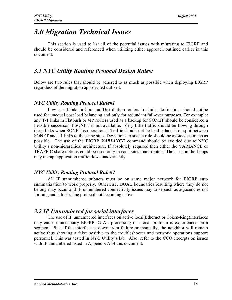# *3.0 Migration Technical Issues*

This section is used to list all of the potential issues with migrating to EIGRP and should be considered and referenced when utilizing either approach outlined earlier in this document.

## *3.1 NYC Utility Routing Protocol Design Rules:*

Below are two rules that should be adhered to as much as possible when deploying EIGRP regardless of the migration approached utilized.

#### *NYC Utility Routing Protocol Rule#1*

Low speed links in Core and Distribution routers to similar destinations should not be used for unequal cost load balancing and only for redundant fail-over purposes. For example: any T-1 links in Flatbush or 4IP routers used as a backup for SONET should be considered a Feasible successor if SONET is not available. Very little traffic should be flowing through these links when SONET is operational. Traffic should not be load balanced or split between SONET and T1 links to the same sites. Deviations to such a rule should be avoided as much as possible. The use of the EIGRP *VARIANCE* command should be avoided due to NYC Utility's non-hierarchical architecture. If absolutely required then either the VARIANCE or TRAFFIC share options could be used only in each sites main routers. Their use in the Loops may disrupt application traffic flows inadvertently.

#### *NYC Utility Routing Protocol Rule#2*

All IP unnumbered subnets must be on same major network for EIGRP auto summarization to work properly. Otherwise, DUAL boundaries resulting where they do not belong may occur and IP unnumbered connectivity issues may arise such as adjacencies not forming and a link's line protocol not becoming active.

### *3.2 IP Unnumbered for serial interfaces*

The use of IP unnumbered interfaces on active local(Ethernet or Token-Ring)interfaces may cause unnecessary EIGRP DUAL processing if a local problem is experienced on a segment. Plus, if the interface is down from failure or manually, the neighbor will remain active thus showing a false positive to the troubleshooter and network operations support personnel. This was tested in NYC Utility's lab. Also, refer to the CCO excerpts on issues with IP unnumbered listed in Appendix A of this document.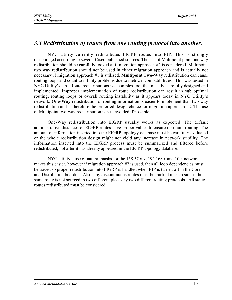#### *3.3 Redistribution of routes from one routing protocol into another.*

NYC Utility currently redistributes EIGRP routes into RIP. This is strongly discouraged according to several Cisco published sources. The use of Multipoint point one way redistribution should be carefully looked at if migration approach #2 is considered. Multipoint two way redistribution should not be used in either migration approach and is actually not necessary if migration approach #1 is utilized. **Multipoint Two-Way** redistribution can cause routing loops and count to infinity problems due to metric incompatibilities. This was tested in NYC Utility's lab. Route redistributions is a complex tool that must be carefully designed and implemented. Improper implementation of route redistribution can result in sub optimal routing, routing loops or overall routing instability as it appears today in NYC Utility's network. One-Way redistribution of routing information is easier to implement than two-way redistribution and is therefore the preferred design choice for migration approach #2. The use of Multipoint two-way redistribution is best avoided if possible.

One-Way redistribution into EIGRP usually works as expected. The default administrative distances of EIGRP routes have proper values to ensure optimum routing. The amount of information inserted into the EIGRP topology database must be carefully evaluated or the whole redistribution design might not yield any increase in network stability. The information inserted into the EIGRP process must be summarized and filtered before redistributed, not after it has already appeared in the EIGRP topology database.

NYC Utility's use of natural masks for the 158.57.x.x, 192.168.x and 10.x networks makes this easier, however if migration approach #2 is used, then all loop dependencies must be traced so proper redistribution into EIGRP is handled when RIP is turned off in the Core and Distribution boarders. Also, any discontinuous routes must be tracked in each site so the same route is not sourced in two different places by two different routing protocols. All static routes redistributed must be considered.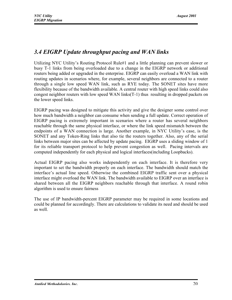## *3.4 EIGRP Update throughput pacing and WAN links*

Utilizing NYC Utility's Routing Protocol Rule#1 and a little planning can prevent slower or busy T-1 links from being overloaded due to a change in the EIGRP network or additional routers being added or upgraded in the enterprise. EIGRP can easily overload a WAN link with routing updates in scenarios where, for example, several neighbors are connected to a router through a single low speed WAN link, such as RYE today. The SONET sites have more flexibility because of the bandwidth available. A central router with high speed links could also congest neighbor routers with low speed WAN links(T-1) thus resulting in dropped packets on the lower speed links.

EIGRP pacing was designed to mitigate this activity and give the designer some control over how much bandwidth a neighbor can consume when sending a full update. Correct operation of EIGRP pacing is extremely important in scenarios where a router has several neighbors reachable through the same physical interface, or where the link speed mismatch between the endpoints of a WAN connection is large. Another example, in NYC Utility's case, is the SONET and any Token-Ring links that also tie the routers together. Also, any of the serial links between major sites can be affected by update pacing. EIGRP uses a sliding window of 1 for its reliable transport protocol to help prevent congestion as well. Pacing intervals are computed independently for each physical and logical interfaces(including Loopbacks).

Actual EIGRP pacing also works independently on each interface. It is therefore very important to set the bandwidth properly on each interface. The bandwidth should match the interface's actual line speed. Otherwise the combined EIGRP traffic sent over a physical interface might overload the WAN link. The bandwidth available to EIGRP over an interface is shared between all the EIGRP neighbors reachable through that interface. A round robin algorithm is used to ensure fairness

The use of IP bandwidth-percent EIGRP parameter may be required in some locations and could be planned for accordingly. There are calculations to validate its need and should be used as well.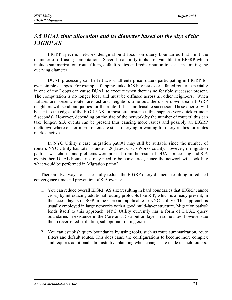## *3.5 DUAL time allocation and its diameter based on the size of the EIGRP AS*

EIGRP specific network design should focus on query boundaries that limit the diameter of diffusing computations. Several scalability tools are available for EIGRP which include summarization, route filters, default routes and redistribution to assist in limiting the querying diameter.

DUAL processing can be felt across all enterprise routers participating in EIGRP for even simple changes. For example, flapping links, IOS bug issues or a failed router, especially in one of the Loops can cause DUAL to execute when there is no feasible successor present. The computation is no longer local and must be diffused across all other neighbors. When failures are present, routes are lost and neighbors time out, the up or downstream EIGRP neighbors will send out queries for the route if it has no feasible successor. These queries will be sent to the edges of the EIGRP AS. In most circumstances this happens very quickly(under 5 seconds). However, depending on the size of the network(by the number of routers) this can take longer. SIA events can be present thus causing more issues and possibly an EIGRP meltdown where one or more routers are stuck querying or waiting for query replies for routes marked active.

In NYC Utility's case migration path#1 may still be suitable since the number of routers NYC Utility has total is under 120(latest Cisco Works count). However, if migration path #1 was chosen and problems were present from the result of DUAL processing and SIA events then DUAL boundaries may need to be considered, hence the network will look like what would be performed in Migration path#2.

There are two ways to successfully reduce the EIGRP query diameter resulting in reduced convergence time and prevention of SIA events:

- 1. You can reduce overall EIGRP AS size(resulting in hard boundaries that EIGRP cannot cross) by introducing additional routing protocols like RIP, which is already present, in the access layers or BGP in the Core(not applicable to NYC Utility). This approach is usually employed in large networks with a good multi-layer structure. Migration path#2 lends itself to this approach. NYC Utility currently has a form of DUAL query boundaries in existence in the Core and Distribution layer in some sites, however due the to reverse redistribution, sub optimal routing exists.
- 2. You can establish query boundaries by using tools, such as route summarization, route filters and default routes. This does cause the configurations to become more complex and requires additional administrative planning when changes are made to such routers.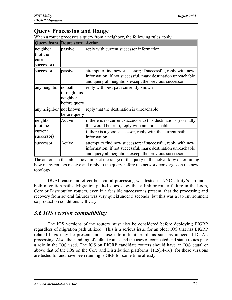## Query Processing and Range

When a router processes a query from a neighbor, the following rules apply:

| <b>Query from Route state</b>                 |                                          | <b>Action</b>                                                                                                                                                                         |
|-----------------------------------------------|------------------------------------------|---------------------------------------------------------------------------------------------------------------------------------------------------------------------------------------|
| neighbor<br>(not the<br>current<br>successor) | passive                                  | reply with current successor information                                                                                                                                              |
| successor                                     | passive                                  | attempt to find new successor; if successful, reply with new<br>information; if not successful, mark destination unreachable<br>and query all neighbors except the previous successor |
| any neighbor no path                          | through this<br>neighbor<br>before query | reply with best path currently known                                                                                                                                                  |
| any neighbor not known                        | before query                             | reply that the destination is unreachable                                                                                                                                             |
| neighbor<br>(not the                          | Active                                   | if there is no current successor to this destinations (normally<br>this would be true), reply with an unreachable                                                                     |
| current<br>successor)                         |                                          | if there is a good successor, reply with the current path<br>information                                                                                                              |
| successor                                     | Active                                   | attempt to find new successor; if successful, reply with new<br>information; if not successful, mark destination unreachable<br>and query all neighbors except the previous successor |

The actions in the table above impact the range of the query in the network by determining how many routers receive and reply to the query before the network converges on the new topology.

DUAL cause and effect behavioral processing was tested in NYC Utility's lab under both migration paths. Migration path#1 does show that a link or router failure in the Loop, Core or Distribution routers, even if a feasible successor is present, that the processing and recovery from several failures was very quick(under 5 seconds) but this was a lab environment so production conditions will vary.

### *3.6 IOS version compatibility*

The IOS versions of the routers must also be considered before deploying EIGRP regardless of migration path utilized. This is a serious issue for an older IOS that has EIGRP related bugs may be present and cause intermittent problems such as unneeded DUAL processing. Also, the handling of default routes and the uses of connected and static routes play a role in the IOS used. The IOS on EIGRP candidate routers should have an IOS equal or above that of the IOS on the Core and Distribution platforms(11.2(14-16)) for these versions are tested for and have been running EIGRP for some time already.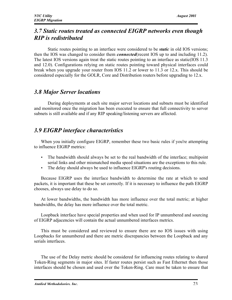### *3.7 Static routes treated as connected EIGRP networks even though RIP is redistributed*

Static routes pointing to an interface were considered to be *static* in old IOS versions; then the IOS was changed to consider them *connected*(recent IOS up to and including 11.2). The latest IOS versions again treat the static routes pointing to an interface as static(IOS 11.3 and 12.0). Configurations relying on static routes pointing toward physical interfaces could break when you upgrade your router from IOS 11.2 or lower to 11.3 or 12.x. This should be considered especially for the GOLR, Core and Distribution routers before upgrading to 12.x.

#### *3.8 Major Server locations*

During deployments at each site major server locations and subnets must be identified and monitored once the migration has been executed to ensure that full connectivity to server subnets is still available and if any RIP speaking/listening servers are affected.

## *3.9 EIGRP interface characteristics*

When you initially configure EIGRP, remember these two basic rules if you're attempting to influence EIGRP metrics:

- The bandwidth should always be set to the real bandwidth of the interface; multipoint serial links and other mismatched media speed situations are the exceptions to this rule.
- The delay should always be used to influence EIGRP's routing decisions.

Because EIGRP uses the interface bandwidth to determine the rate at which to send packets, it is important that these be set correctly. If it is necessary to influence the path EIGRP chooses, always use delay to do so.

At lower bandwidths, the bandwidth has more influence over the total metric; at higher bandwidths, the delay has more influence over the total metric.

Loopback interface have special properties and when used for IP unnumbered and sourcing of EIGRP adjacencies will contain the actual unnumbered interfaces metrics.

This must be considered and reviewed to ensure there are no IOS issues with using Loopbacks for unnumbered and there are metric discrepancies between the Loopback and any serials interfaces.

The use of the Delay metric should be considered for influencing routes relating to shared Token-Ring segments in major sites. If faster routes persist such as Fast Ethernet then those interfaces should be chosen and used over the Token-Ring. Care must be taken to ensure that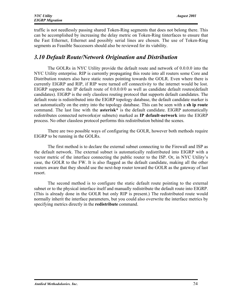traffic is not needlessly passing shared Token-Ring segments that does not belong there. This can be accomplished by increasing the delay metric on Token-Ring tinterfaces to ensure that the Fast Ethernet, Ethernet and possibly serial lines are chosen. The use of Token-Ring segments as Feasible Successors should also be reviewed for its viability.

#### *3.10 Default Route/Network Origination and Distribution*

The GOLRs in NYC Utility provide the default route and network of 0.0.0.0 into the NYC Utility enterprise. RIP is currently propagating this route into all routers some Core and Distribution routers also have static routes pointing towards the GOLR. Even where there is currently EIGRP and RIP, if RIP were turned off connectivity to the internet would be lost. EIGRP supports the IP default route of 0.0.0.0/0 as well as candidate default routes(default candidates). EIGRP is the only classless routing protocol that supports default candidates. The default route is redistributed into the EIGRP topology database, the default candidate marker is set automatically on the entry into the topology database. This can be seen with a sh ip route command. The last line with the **asterisk**\* is the default candidate. EIGRP automatically redistributes connected networks(or subnets) marked as IP default-network into the EIGRP process. No other classless protocol performs this redistribution behind the scenes.

There are two possible ways of configuring the GOLR, however both methods require EIGRP to be running in the GOLRs.

The first method is to declare the external subnet connecting to the Firewall and ISP as the default network. The external subnet is automatically redistributed into EIGRP with a vector metric of the interface connecting the public router to the ISP. Or, in NYC Utility's case, the GOLR to the FW. It is also flagged as the default candidate, making all the other routers aware that they should use the next-hop router toward the GOLR as the gateway of last resort.

The second method is to configure the static default route pointing to the external subnet or to the physical interface itself and manually redistribute the default route into EIGRP. (This is already done in the GOLR but only RIP is present.) The redistributed route would normally inherit the interface parameters, but you could also overwrite the interface metrics by specifying metrics directly in the **redistribute** command.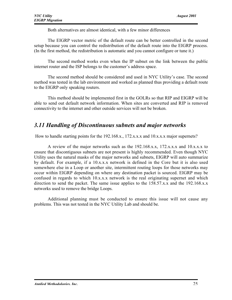Both alternatives are almost identical, with a few minor differences

The EIGRP vector metric of the default route can be better controlled in the second setup because you can control the redistribution of the default route into the EIGRP process. (In the first method, the redistribution is automatic and you cannot configure or tune it.)

The second method works even when the IP subnet on the link between the public internet router and the ISP belongs to the customer's address space.

The second method should be considered and used in NYC Utility's case. The second method was tested in the lab environment and worked as planned thus providing a default route to the EIGRP only speaking routers.

This method should be implemented first in the GOLRs so that RIP and EIGRP will be able to send out default network information. When sites are converted and RIP is removed connectivity to the internet and other outside services will not be broken.

#### *3.11 Handling of Discontinuous subnets and major networks*

How to handle starting points for the 192.168.x., 172.x.x.x and 10.x.x.x major supernets?

A review of the major networks such as the 192.168.x.x, 172.x.x.x and 10.x.x.x to ensure that discontiguous subnets are not present is highly recommended. Even though NYC Utility uses the natural masks of the major networks and subnets, EIGRP will auto summarize by default. For example, if a 10.x.x.x network is defined in the Core but it is also used somewhere else in a Loop or another site, intermittent routing loops for those networks may occur within EIGRP depending on where any destination packet is sourced. EIGRP may be confused in regards to which 10.x.x.x network is the real originating supernet and which direction to send the packet. The same issue applies to the 158.57.x.x and the 192.168.x.x networks used to remove the bridge Loops.

Additional planning must be conducted to ensure this issue will not cause any problems. This was not tested in the NYC Utility Lab and should be.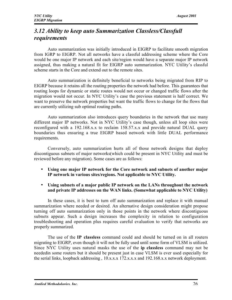## *3.12 Ability to keep auto Summarization Classless/Classfull requirements*

Auto summarization was initially introduced in EIGRP to facilitate smooth migration from IGRP to EIGRP. Not all networks have a classful addressing scheme where the Core would be one major IP network and each site/region would have a separate major IP network assigned, thus making a natural fit for EIGRP auto summarization. NYC Utility's classful scheme starts in the Core and extend out to the remote sites.

Auto summarization is definitely beneficial to networks being migrated from RIP to EIGRP because it retains all the routing properties the network had before. This guarantees that routing loops for dynamic or static routes would not occur or changed traffic flows after the migration would not occur. In NYC Utility's case the previous statement is half correct. We want to preserve the network properties but want the traffic flows to change for the flows that are currently utilizing sub optimal routing paths.

Auto summarization also introduces query boundaries in the network that use many different major IP networks. Not in NYC Utility's case though, unless all loop sites were reconfigured with a 192.168.x.x to reclaim 158.57.x.x and provide natural DUAL query boundaries thus ensuring a true EIGRP based network with little DUAL performance requirements.

Conversely, auto summarization hurts all of those network designs that deploy discontiguous subnets of major networks(which could be present in NYC Utility and must be reviewed before any migration). Some cases are as follows:

- Using one major IP network for the Core network and subnets of another major IP network in various sites/regions. Not applicable to NYC Utility.
- Using subnets of a major public IP network on the LANs throughout the network and private IP addresses on the WAN links. (Somewhat applicable to NYC Utility)

In these cases, it is best to turn off auto summarization and replace it with manual summarization where needed or desired. An alternative design consideration might propose turning off auto summarization only in those points in the network where discontiguous subnets appear. Such a design increases the complexity in relation to configuration troubleshooting and operation plus requires careful evaluation to verify that networks are properly summarized.

The use of the IP classless command could and should be turned on in all routers migrating to EIGRP, even though it will not be fully used until some form of VLSM is utilized. Since NYC Utility uses natural masks the use of the ip classless command may not be neededin some routers but it should be present just in case VLSM is ever used especially for the serial links, loopback addressing , 10.x.x.x 172.x.x.x and 192.168.x.x network deployment.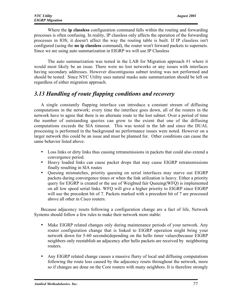Where the ip classless configuration command falls within the routing and forwarding processes is often confusing. In reality, IP classless only affects the operation of the forwarding processes in IOS; it doesn't affect the way the routing table is built. If IP classless isn't configured (using the no ip classless command), the router won't forward packets to supernets. Since we are using auto summarization in EIGRP we will use IP Classless

The auto summarization was tested in the LAB for Migration approach #1 where it would most likely be an issue. There were no lost networks or any issues with interfaces having secondary addresses. However discontiguous subnet testing was not performed and should be tested. Since NYC Utility uses natural masks auto summarization should be left on regardless of either migration approach.

## *3.13 Handling of route flapping conditions and recovery*

A single constantly flapping interface can introduce a constant stream of diffusing computations in the network; every time the interface goes down, all of the routers in the network have to agree that there is no alternate route to the lost subnet. Over a period of time the number of outstanding queries can grow to the extent that one of the diffusing computations exceeds the SIA timeout. This was tested in the lab and since the DUAL processing is performed in the background no performance issues were noted. However on a larger network this could be an issue and must be planned for. Other conditions can cause the same behavior listed above:

- Loss links or dirty links thus causing retransmissions in packets that could also extend a convergence period.
- Heavy loaded links can cause packet drops that may cause EIGRP retransmissions finally resulting in SIA routes
- Queuing mismatches, priority queuing on serial interfaces may starve out EIGRP packets during convergence times or when the link utilization is heavy. Either a priority query for EIGRP is created or the use of Weighted fair Queuing(WFQ) is implemented on all low speed serial links. WFQ will give a higher priority to EIGRP since EIGRP will use the precedent bit of 7. Packets marked with a precedent bit of 7 are processed above all other in Cisco routers.

Because adjacency resets following a configuration change are a fact of life, Network Systems should follow a few rules to make their network more stable:

- Make EIGRP related changes only during maintenance periods of your network. Any router configuration change that is linked to EIGRP operation might bring your network down for 5-60 seconds(depending on the hello timer values)because EIGRP neighbors only reestablish an adjacency after hello packets are received by neighboring routers.
- Any EIGRP related change causes a massive flurry of local and diffusing computations following the route loss caused by the adjacency resets throughout the network, more so if changes are done on the Core routers with many neighbors. It is therefore strongly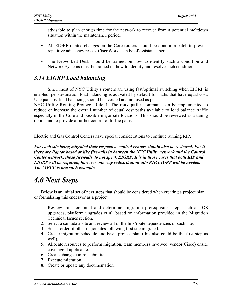advisable to plan enough time for the network to recover from a potential meltdown situation within the maintenance period.

- All EIGRP related changes on the Core routers should be done in a batch to prevent repetitive adjacency resets. CiscoWorks can be of assistance here.
- The Networked Desk should be trained on how to identify such a condition and Network Systems must be trained on how to identify and resolve such conditions.

## *3.14 EIGRP Load balancing*

Since most of NYC Utility's routers are using fast/optimal switching when EIGRP is enabled, per destination load balancing is activated by default for paths that have equal cost. Unequal cost load balancing should be avoided and not used as per

NYC Utility Routing Protocol Rule#1. The **max paths** command can be implemented to reduce or increase the overall number of equal cost paths available to load balance traffic especially in the Core and possible major site locations. This should be reviewed as a tuning option and to provide a further control of traffic paths.

Electric and Gas Control Centers have special considerations to continue running RIP.

*For each site being migrated their respective control centers should also be reviewed. For if there are Raptor based or like firewalls in between the NYC Utility network and the Control Center network, those firewalls do not speak EIGRP. It is in those cases that both RIP and EIGRP will be required, however one way redistribution into RIP/EIGRP will be needed. The MECC is one such example.*

# *4.0 Next Steps*

Below is an initial set of next steps that should be considered when creating a project plan or formalizing this endeavor as a project.

- 1 . Review this document and determine migration prerequisites steps such as IOS upgrades, platform upgrades et al. based on information provided in the Migration Technical Issues section.
- 2. Select a candidate site and review all of the link/route dependencies of such site.
- 3. Select order of other major sites following first site migrated.
- 4. Create migration schedule and basic project plan (this also could be the first step as well).
- 5. Allocate resources to perform migration, team members involved, vendor(Cisco) onsite coverage if applicable.
- 6. Create change control submittals.
- 7. Execute migration.
- 8. Create or update any documentation.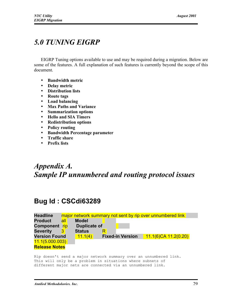# *5.0 TUNING EIGRP*

EIGRP Tuning options available to use and may be required during a migration. Below are some of the features. A full explanation of such features is currently beyond the scope of this document.

- Bandwidth metric
- Delay metric
- Distribution lists
- Route tags
- Load balancing
- Max Paths and Variance
- Summarization options
- Hello and SIA Timers
- Redistribution options
- Policy routing
- Bandwidth Percentage parameter
- Traffic share
- Prefix lists

# *Appendix A. Sample IP unnumbered and routing protocol issues*

# **Bug Id : CSCdi63289**

| <b>Headline</b>      |     |                     | major network summary not sent by rip over unnumbered link |                         |
|----------------------|-----|---------------------|------------------------------------------------------------|-------------------------|
| <b>Product</b>       | all | <b>Model</b>        |                                                            |                         |
| Component rip        |     | <b>Duplicate of</b> |                                                            |                         |
| <b>Severity</b>      |     | <b>Status</b>       |                                                            |                         |
| <b>Version Found</b> |     | 11.1(4)             | <b>Fixed-in Version</b>                                    | $11.1(6)$ CA 11.2(0.20) |
| 11.1(5.000.003)      |     |                     |                                                            |                         |
| <b>Release Notes</b> |     |                     |                                                            |                         |

Rip doesn't send a major network summary over an unnumbered link. This will only be a problem in situations where subnets of different major nets are connected via an unnumbered link.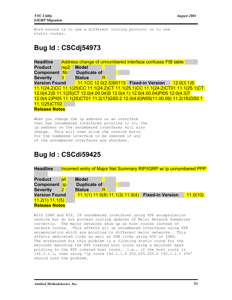Work around is to use a different routing protocol or to use static routes.

# **Bug Id : CSCdj54973**

**Headline** Address change of unnumbered interface confuses FIB table **Product** rsp2 **Model Component** fib **Duplicate of Severity** 3 **Status** R **Version Found** 11.1CC 12.0(2.5)S0113 **Fixed-in Version** 12.0(3.1)S 11.1(24.2)CC 11.1(25)CC 11.1(24.2)CT 11.1(25.1)CC 11.1(24.2)CT01 11.1(25.1)CT 12.0(4.2)S 11.1(25)CT 12.0(4.00.04)S 12.0(4.1) 12.0(4.00.04)PI05 12.0(4.3)T 12.0(4.2)PI05 11.1(25)CT01 11.2(17)GS0.2 12.0(4.6)W05(11.00.09) 11.2(18)GS0.1 11.1(25)CT02 **Release Notes**

When you change the ip address on an interface that has unnumbered interfaces pointing to it, the ip address on the unnumbered interfaces will also change. This will then allow the receive entry for the numbered interface to be removed if any of the unnumbered interfaces are shutdown.

## **Bug Id : CSCdi59425**

Headline Incorrect entry of Major Net Summary RIP/IGRP w/ ip unnumbered PPP

| <b>Product</b>       | all | <b>Model</b>        |  |                                                    |          |
|----------------------|-----|---------------------|--|----------------------------------------------------|----------|
| Component ip         |     | <b>Duplicate of</b> |  |                                                    |          |
| <b>Severity</b>      |     | <b>Status</b>       |  |                                                    |          |
| <b>Version Found</b> |     |                     |  | $11.1(1) 11.0(8) 11.1(3) 11.0(4)$ Fixed-in Version | 11.0(10) |
| 11.2(1) 11.1(5)      |     |                     |  |                                                    |          |
| <b>Release Notes</b> |     |                     |  |                                                    |          |

With IGRP and RIP, IP unnumbered interfaces using PPP encapsulation receive but do not process routing updates of Major Network Summaries correctly. The major networks show up as host routes instead of network routes. This affects all ip unnumbered interfaces using PPP encapsulation which are pointing to different major networks. This affects dedicated links as well as DDR links using RIP or IGRP. The workaround for this problem is a floating static route for the majornet matching the PPP created host route using a majornet mask pointing to the PPP created host route. i.e., if the host route is 192.1.1.1, then using 'ip route 192.1.1.0 255.255.255.0 192.1.1.1 250' should cure the problem.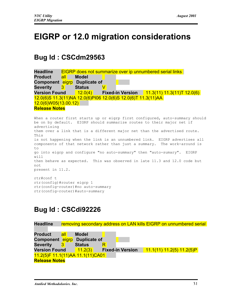# **EIGRP or 12.0 migration considerations**

# **Bug Id : CSCdm29563**



# **Bug Id : CSCdi92226**

```
Headline removing secondary address on LAN kills EIGRP on unnumbered serial
Product all Model
Component eigrp Duplicate of
Severity 3 Status R
Version Found 11.2(3) Fixed-in Version 11.1(11) 11.2(5) 11.2(5)P
11.2(5)F 11.1(11)AA 11.1(11)CA01
Release Notes
```